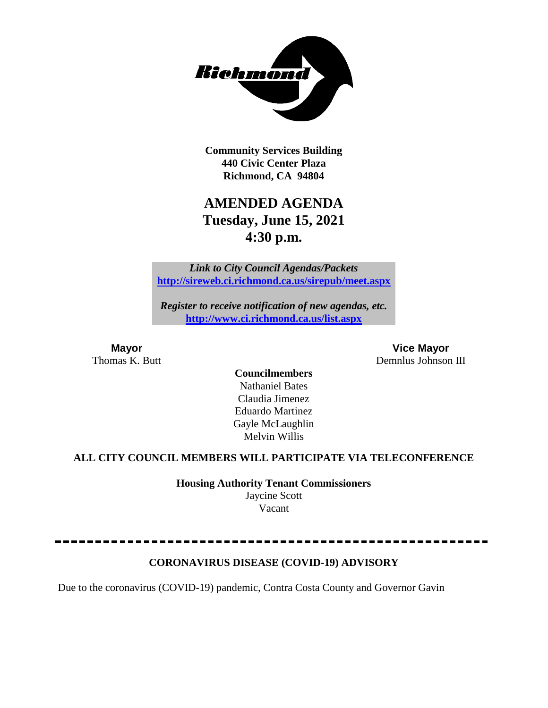

**Community Services Building 440 Civic Center Plaza Richmond, CA 94804**

## **AMENDED AGENDA Tuesday, June 15, 2021 4:30 p.m.**

*Link to City Council Agendas/Packets* **<http://sireweb.ci.richmond.ca.us/sirepub/meet.aspx>**

*Register to receive notification of new agendas, etc.* **<http://www.ci.richmond.ca.us/list.aspx>**

**Mayor Vice Mayor** Thomas K. Butt Demnlus Johnson III

> **Councilmembers** Nathaniel Bates Claudia Jimenez Eduardo Martinez Gayle McLaughlin Melvin Willis

### **ALL CITY COUNCIL MEMBERS WILL PARTICIPATE VIA TELECONFERENCE**

**Housing Authority Tenant Commissioners** Jaycine Scott Vacant

### **CORONAVIRUS DISEASE (COVID-19) ADVISORY**

Due to the coronavirus (COVID-19) pandemic, Contra Costa County and Governor Gavin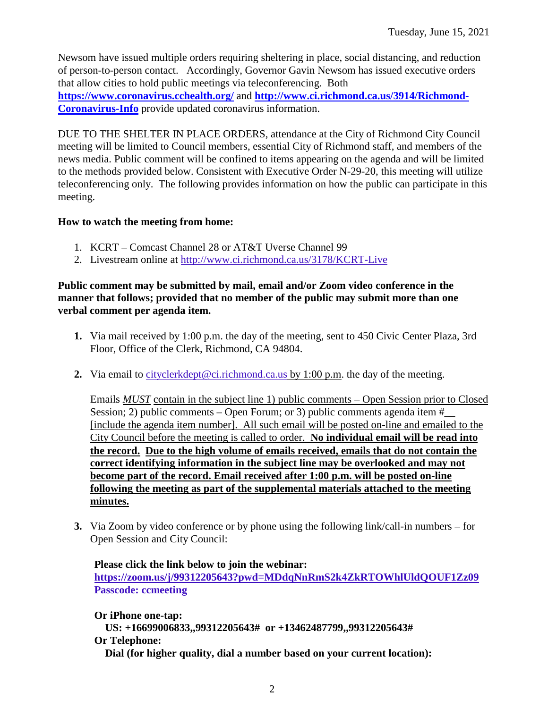Newsom have issued multiple orders requiring sheltering in place, social distancing, and reduction of person-to-person contact. Accordingly, Governor Gavin Newsom has issued executive orders that allow cities to hold public meetings via teleconferencing. Both **<https://www.coronavirus.cchealth.org/>** and **[http://www.ci.richmond.ca.us/3914/Richmond-](http://www.ci.richmond.ca.us/3914/Richmond-Coronavirus-Info)[Coronavirus-Info](http://www.ci.richmond.ca.us/3914/Richmond-Coronavirus-Info)** provide updated coronavirus information.

DUE TO THE SHELTER IN PLACE ORDERS, attendance at the City of Richmond City Council meeting will be limited to Council members, essential City of Richmond staff, and members of the news media. Public comment will be confined to items appearing on the agenda and will be limited to the methods provided below. Consistent with Executive Order N-29-20, this meeting will utilize teleconferencing only. The following provides information on how the public can participate in this meeting.

### **How to watch the meeting from home:**

- 1. KCRT Comcast Channel 28 or AT&T Uverse Channel 99
- 2. Livestream online at<http://www.ci.richmond.ca.us/3178/KCRT-Live>

### **Public comment may be submitted by mail, email and/or Zoom video conference in the manner that follows; provided that no member of the public may submit more than one verbal comment per agenda item.**

- **1.** Via mail received by 1:00 p.m. the day of the meeting, sent to 450 Civic Center Plaza, 3rd Floor, Office of the Clerk, Richmond, CA 94804.
- **2.** Via email to [cityclerkdept@ci.richmond.ca.us](mailto:cityclerkdept@ci.richmond.ca.us) by 1:00 p.m. the day of the meeting.

Emails *MUST* contain in the subject line 1) public comments – Open Session prior to Closed Session; 2) public comments – Open Forum; or 3) public comments agenda item  $#$ [include the agenda item number]. All such email will be posted on-line and emailed to the City Council before the meeting is called to order. **No individual email will be read into the record. Due to the high volume of emails received, emails that do not contain the correct identifying information in the subject line may be overlooked and may not become part of the record. Email received after 1:00 p.m. will be posted on-line following the meeting as part of the supplemental materials attached to the meeting minutes.**

**3.** Via Zoom by video conference or by phone using the following link/call-in numbers – for Open Session and City Council:

**Please click the link below to join the webinar: <https://zoom.us/j/99312205643?pwd=MDdqNnRmS2k4ZkRTOWhlUldQOUF1Zz09> Passcode: ccmeeting**

**Or iPhone one-tap: US: +16699006833,,99312205643# or +13462487799,,99312205643# Or Telephone: Dial (for higher quality, dial a number based on your current location):**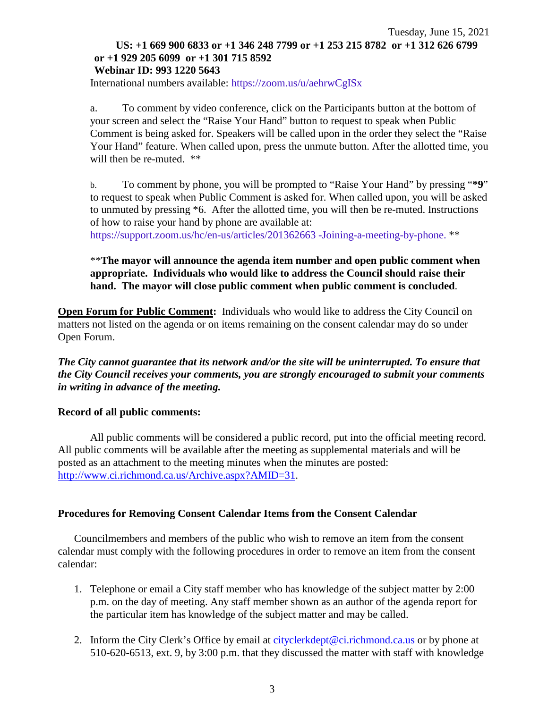#### Tuesday, June 15, 2021 **US: +1 669 900 6833 or +1 346 248 7799 or +1 253 215 8782 or +1 312 626 6799 or +1 929 205 6099 or +1 301 715 8592 Webinar ID: 993 1220 5643**

International numbers available: <https://zoom.us/u/aehrwCgISx>

a. To comment by video conference, click on the Participants button at the bottom of your screen and select the "Raise Your Hand" button to request to speak when Public Comment is being asked for. Speakers will be called upon in the order they select the "Raise Your Hand" feature. When called upon, press the unmute button. After the allotted time, you will then be re-muted.  $**$ 

b. To comment by phone, you will be prompted to "Raise Your Hand" by pressing "**\*9**" to request to speak when Public Comment is asked for. When called upon, you will be asked to unmuted by pressing \*6. After the allotted time, you will then be re-muted. Instructions of how to raise your hand by phone are available at:

[https://support.zoom.us/hc/en-us/articles/201362663 -Joining-a-meeting-by-phone.](https://support.zoom.us/hc/en-us/articles/201362663) \*\*

### \*\***The mayor will announce the agenda item number and open public comment when appropriate. Individuals who would like to address the Council should raise their hand. The mayor will close public comment when public comment is concluded**.

**Open Forum for Public Comment:** Individuals who would like to address the City Council on matters not listed on the agenda or on items remaining on the consent calendar may do so under Open Forum.

*The City cannot guarantee that its network and/or the site will be uninterrupted. To ensure that the City Council receives your comments, you are strongly encouraged to submit your comments in writing in advance of the meeting.* 

#### **Record of all public comments:**

All public comments will be considered a public record, put into the official meeting record. All public comments will be available after the meeting as supplemental materials and will be posted as an attachment to the meeting minutes when the minutes are posted: [http://www.ci.richmond.ca.us/Archive.aspx?AMID=31.](http://www.ci.richmond.ca.us/Archive.aspx?AMID=31)

### **Procedures for Removing Consent Calendar Items from the Consent Calendar**

Councilmembers and members of the public who wish to remove an item from the consent calendar must comply with the following procedures in order to remove an item from the consent calendar:

- 1. Telephone or email a City staff member who has knowledge of the subject matter by 2:00 p.m. on the day of meeting. Any staff member shown as an author of the agenda report for the particular item has knowledge of the subject matter and may be called.
- 2. Inform the City Clerk's Office by email at [cityclerkdept@ci.richmond.ca.us](mailto:cityclerkdept@ci.richmond.ca.us) or by phone at 510-620-6513, ext. 9, by 3:00 p.m. that they discussed the matter with staff with knowledge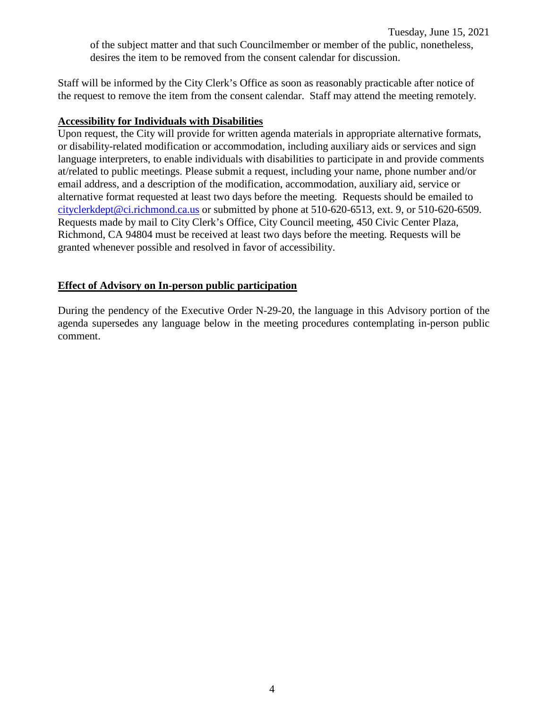Staff will be informed by the City Clerk's Office as soon as reasonably practicable after notice of the request to remove the item from the consent calendar. Staff may attend the meeting remotely.

### **Accessibility for Individuals with Disabilities**

Upon request, the City will provide for written agenda materials in appropriate alternative formats, or disability-related modification or accommodation, including auxiliary aids or services and sign language interpreters, to enable individuals with disabilities to participate in and provide comments at/related to public meetings. Please submit a request, including your name, phone number and/or email address, and a description of the modification, accommodation, auxiliary aid, service or alternative format requested at least two days before the meeting. Requests should be emailed to [cityclerkdept@ci.richmond.ca.us](mailto:cityclerkdept@ci.richmond.ca.us) or submitted by phone at 510-620-6513, ext. 9, or 510-620-6509. Requests made by mail to City Clerk's Office, City Council meeting, 450 Civic Center Plaza, Richmond, CA 94804 must be received at least two days before the meeting. Requests will be granted whenever possible and resolved in favor of accessibility.

### **Effect of Advisory on In-person public participation**

During the pendency of the Executive Order N-29-20, the language in this Advisory portion of the agenda supersedes any language below in the meeting procedures contemplating in-person public comment.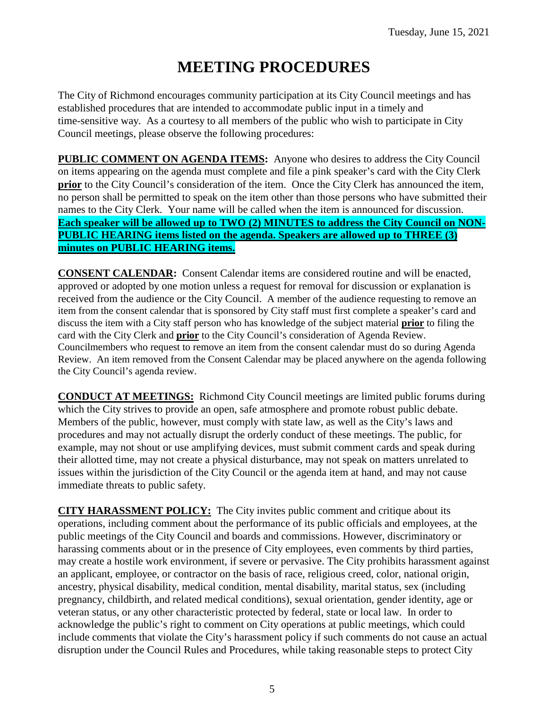# **MEETING PROCEDURES**

The City of Richmond encourages community participation at its City Council meetings and has established procedures that are intended to accommodate public input in a timely and time-sensitive way. As a courtesy to all members of the public who wish to participate in City Council meetings, please observe the following procedures:

**PUBLIC COMMENT ON AGENDA ITEMS:** Anyone who desires to address the City Council on items appearing on the agenda must complete and file a pink speaker's card with the City Clerk **prior** to the City Council's consideration of the item. Once the City Clerk has announced the item, no person shall be permitted to speak on the item other than those persons who have submitted their names to the City Clerk. Your name will be called when the item is announced for discussion. **Each speaker will be allowed up to TWO (2) MINUTES to address the City Council on NON-PUBLIC HEARING items listed on the agenda. Speakers are allowed up to THREE (3) minutes on PUBLIC HEARING items.**

**CONSENT CALENDAR:** Consent Calendar items are considered routine and will be enacted, approved or adopted by one motion unless a request for removal for discussion or explanation is received from the audience or the City Council. A member of the audience requesting to remove an item from the consent calendar that is sponsored by City staff must first complete a speaker's card and discuss the item with a City staff person who has knowledge of the subject material **prior** to filing the card with the City Clerk and **prior** to the City Council's consideration of Agenda Review. Councilmembers who request to remove an item from the consent calendar must do so during Agenda Review. An item removed from the Consent Calendar may be placed anywhere on the agenda following the City Council's agenda review.

**CONDUCT AT MEETINGS:** Richmond City Council meetings are limited public forums during which the City strives to provide an open, safe atmosphere and promote robust public debate. Members of the public, however, must comply with state law, as well as the City's laws and procedures and may not actually disrupt the orderly conduct of these meetings. The public, for example, may not shout or use amplifying devices, must submit comment cards and speak during their allotted time, may not create a physical disturbance, may not speak on matters unrelated to issues within the jurisdiction of the City Council or the agenda item at hand, and may not cause immediate threats to public safety.

**CITY HARASSMENT POLICY:** The City invites public comment and critique about its operations, including comment about the performance of its public officials and employees, at the public meetings of the City Council and boards and commissions. However, discriminatory or harassing comments about or in the presence of City employees, even comments by third parties, may create a hostile work environment, if severe or pervasive. The City prohibits harassment against an applicant, employee, or contractor on the basis of race, religious creed, color, national origin, ancestry, physical disability, medical condition, mental disability, marital status, sex (including pregnancy, childbirth, and related medical conditions), sexual orientation, gender identity, age or veteran status, or any other characteristic protected by federal, state or local law. In order to acknowledge the public's right to comment on City operations at public meetings, which could include comments that violate the City's harassment policy if such comments do not cause an actual disruption under the Council Rules and Procedures, while taking reasonable steps to protect City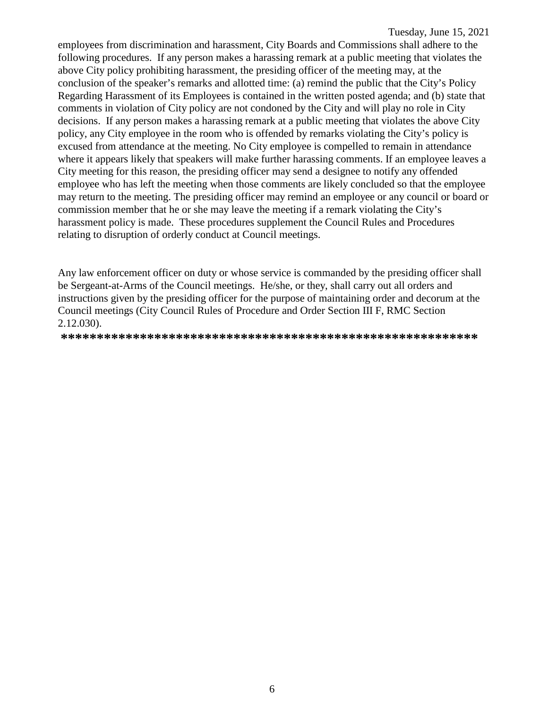employees from discrimination and harassment, City Boards and Commissions shall adhere to the following procedures. If any person makes a harassing remark at a public meeting that violates the above City policy prohibiting harassment, the presiding officer of the meeting may, at the conclusion of the speaker's remarks and allotted time: (a) remind the public that the City's Policy Regarding Harassment of its Employees is contained in the written posted agenda; and (b) state that comments in violation of City policy are not condoned by the City and will play no role in City decisions. If any person makes a harassing remark at a public meeting that violates the above City policy, any City employee in the room who is offended by remarks violating the City's policy is excused from attendance at the meeting. No City employee is compelled to remain in attendance where it appears likely that speakers will make further harassing comments. If an employee leaves a City meeting for this reason, the presiding officer may send a designee to notify any offended employee who has left the meeting when those comments are likely concluded so that the employee may return to the meeting. The presiding officer may remind an employee or any council or board or commission member that he or she may leave the meeting if a remark violating the City's harassment policy is made. These procedures supplement the Council Rules and Procedures relating to disruption of orderly conduct at Council meetings.

Any law enforcement officer on duty or whose service is commanded by the presiding officer shall be Sergeant-at-Arms of the Council meetings. He/she, or they, shall carry out all orders and instructions given by the presiding officer for the purpose of maintaining order and decorum at the Council meetings (City Council Rules of Procedure and Order Section III F, RMC Section 2.12.030).

**\*\*\*\*\*\*\*\*\*\*\*\*\*\*\*\*\*\*\*\*\*\*\*\*\*\*\*\*\*\*\*\*\*\*\*\*\*\*\*\*\*\*\*\*\*\*\*\*\*\*\*\*\*\*\*\*\*\***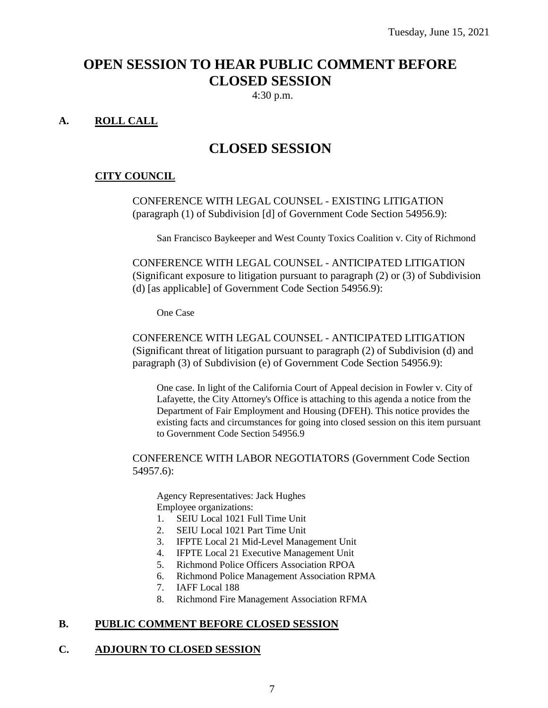## **OPEN SESSION TO HEAR PUBLIC COMMENT BEFORE CLOSED SESSION**

4:30 p.m.

## **A. ROLL CALL**

## **CLOSED SESSION**

#### **CITY COUNCIL**

CONFERENCE WITH LEGAL COUNSEL - EXISTING LITIGATION (paragraph (1) of Subdivision [d] of Government Code Section 54956.9):

San Francisco Baykeeper and West County Toxics Coalition v. City of Richmond

CONFERENCE WITH LEGAL COUNSEL - ANTICIPATED LITIGATION (Significant exposure to litigation pursuant to paragraph (2) or (3) of Subdivision (d) [as applicable] of Government Code Section 54956.9):

One Case

CONFERENCE WITH LEGAL COUNSEL - ANTICIPATED LITIGATION (Significant threat of litigation pursuant to paragraph (2) of Subdivision (d) and paragraph (3) of Subdivision (e) of Government Code Section 54956.9):

One case. In light of the California Court of Appeal decision in Fowler v. City of Lafayette, the City Attorney's Office is attaching to this agenda a notice from the Department of Fair Employment and Housing (DFEH). This notice provides the existing facts and circumstances for going into closed session on this item pursuant to Government Code Section 54956.9

CONFERENCE WITH LABOR NEGOTIATORS (Government Code Section 54957.6):

Agency Representatives: Jack Hughes Employee organizations:

- 1. SEIU Local 1021 Full Time Unit
- 2. SEIU Local 1021 Part Time Unit
- 3. IFPTE Local 21 Mid-Level Management Unit
- 4. IFPTE Local 21 Executive Management Unit
- 5. Richmond Police Officers Association RPOA
- 6. Richmond Police Management Association RPMA
- 7. IAFF Local 188<br>8. Richmond Fire N
- 8. Richmond Fire Management Association RFMA

#### **B. PUBLIC COMMENT BEFORE CLOSED SESSION**

#### **C. ADJOURN TO CLOSED SESSION**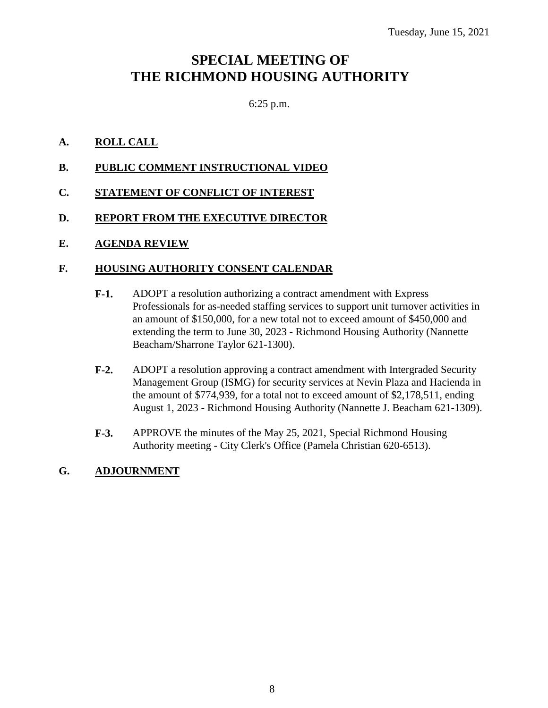## **SPECIAL MEETING OF THE RICHMOND HOUSING AUTHORITY**

## 6:25 p.m.

## **A. ROLL CALL**

- **B. PUBLIC COMMENT INSTRUCTIONAL VIDEO**
- **C. STATEMENT OF CONFLICT OF INTEREST**

## **D. REPORT FROM THE EXECUTIVE DIRECTOR**

## **E. AGENDA REVIEW**

## **F. HOUSING AUTHORITY CONSENT CALENDAR**

- **F-1.** ADOPT a resolution authorizing a contract amendment with Express Professionals for as-needed staffing services to support unit turnover activities in an amount of \$150,000, for a new total not to exceed amount of \$450,000 and extending the term to June 30, 2023 - Richmond Housing Authority (Nannette Beacham/Sharrone Taylor 621-1300).
- **F-2.** ADOPT a resolution approving a contract amendment with Intergraded Security Management Group (ISMG) for security services at Nevin Plaza and Hacienda in the amount of \$774,939, for a total not to exceed amount of \$2,178,511, ending August 1, 2023 - Richmond Housing Authority (Nannette J. Beacham 621-1309).
- **F-3.** APPROVE the minutes of the May 25, 2021, Special Richmond Housing Authority meeting - City Clerk's Office (Pamela Christian 620-6513).

## **G. ADJOURNMENT**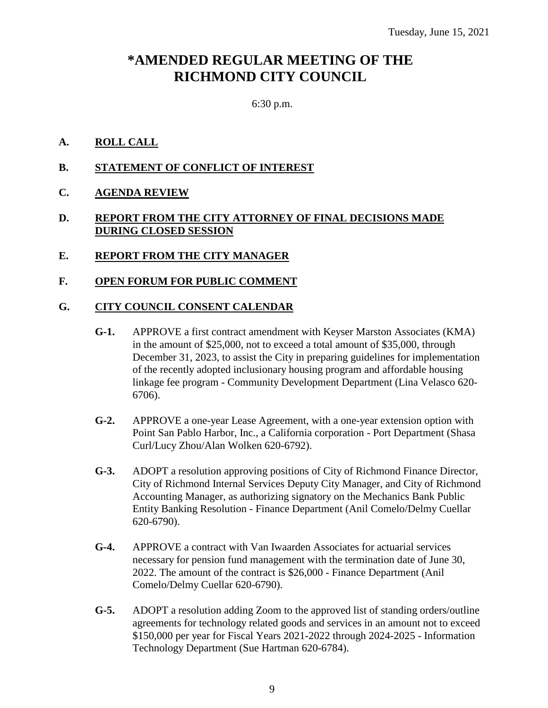## **\*AMENDED REGULAR MEETING OF THE RICHMOND CITY COUNCIL**

6:30 p.m.

### **A. ROLL CALL**

- **B. STATEMENT OF CONFLICT OF INTEREST**
- **C. AGENDA REVIEW**

### **D. REPORT FROM THE CITY ATTORNEY OF FINAL DECISIONS MADE DURING CLOSED SESSION**

**E. REPORT FROM THE CITY MANAGER**

### **F. OPEN FORUM FOR PUBLIC COMMENT**

### **G. CITY COUNCIL CONSENT CALENDAR**

- **G-1.** APPROVE a first contract amendment with Keyser Marston Associates (KMA) in the amount of \$25,000, not to exceed a total amount of \$35,000, through December 31, 2023, to assist the City in preparing guidelines for implementation of the recently adopted inclusionary housing program and affordable housing linkage fee program - Community Development Department (Lina Velasco 620- 6706).
- **G-2.** APPROVE a one-year Lease Agreement, with a one-year extension option with Point San Pablo Harbor, Inc., a California corporation - Port Department (Shasa Curl/Lucy Zhou/Alan Wolken 620-6792).
- **G-3.** ADOPT a resolution approving positions of City of Richmond Finance Director, City of Richmond Internal Services Deputy City Manager, and City of Richmond Accounting Manager, as authorizing signatory on the Mechanics Bank Public Entity Banking Resolution - Finance Department (Anil Comelo/Delmy Cuellar 620-6790).
- **G-4.** APPROVE a contract with Van Iwaarden Associates for actuarial services necessary for pension fund management with the termination date of June 30, 2022. The amount of the contract is \$26,000 - Finance Department (Anil Comelo/Delmy Cuellar 620-6790).
- **G-5.** ADOPT a resolution adding Zoom to the approved list of standing orders/outline agreements for technology related goods and services in an amount not to exceed \$150,000 per year for Fiscal Years 2021-2022 through 2024-2025 - Information Technology Department (Sue Hartman 620-6784).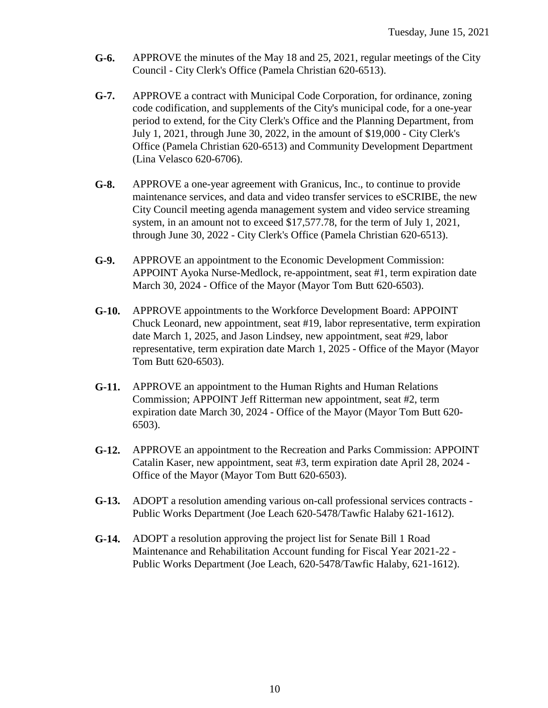- **G-6.** APPROVE the minutes of the May 18 and 25, 2021, regular meetings of the City Council - City Clerk's Office (Pamela Christian 620-6513).
- **G-7.** APPROVE a contract with Municipal Code Corporation, for ordinance, zoning code codification, and supplements of the City's municipal code, for a one-year period to extend, for the City Clerk's Office and the Planning Department, from July 1, 2021, through June 30, 2022, in the amount of \$19,000 - City Clerk's Office (Pamela Christian 620-6513) and Community Development Department (Lina Velasco 620-6706).
- **G-8.** APPROVE a one-year agreement with Granicus, Inc., to continue to provide maintenance services, and data and video transfer services to eSCRIBE, the new City Council meeting agenda management system and video service streaming system, in an amount not to exceed \$17,577.78, for the term of July 1, 2021, through June 30, 2022 - City Clerk's Office (Pamela Christian 620-6513).
- **G-9.** APPROVE an appointment to the Economic Development Commission: APPOINT Ayoka Nurse-Medlock, re-appointment, seat #1, term expiration date March 30, 2024 - Office of the Mayor (Mayor Tom Butt 620-6503).
- **G-10.** APPROVE appointments to the Workforce Development Board: APPOINT Chuck Leonard, new appointment, seat #19, labor representative, term expiration date March 1, 2025, and Jason Lindsey, new appointment, seat #29, labor representative, term expiration date March 1, 2025 - Office of the Mayor (Mayor Tom Butt 620-6503).
- **G-11.** APPROVE an appointment to the Human Rights and Human Relations Commission; APPOINT Jeff Ritterman new appointment, seat #2, term expiration date March 30, 2024 - Office of the Mayor (Mayor Tom Butt 620- 6503).
- **G-12.** APPROVE an appointment to the Recreation and Parks Commission: APPOINT Catalin Kaser, new appointment, seat #3, term expiration date April 28, 2024 - Office of the Mayor (Mayor Tom Butt 620-6503).
- **G-13.** ADOPT a resolution amending various on-call professional services contracts Public Works Department (Joe Leach 620-5478/Tawfic Halaby 621-1612).
- **G-14.** ADOPT a resolution approving the project list for Senate Bill 1 Road Maintenance and Rehabilitation Account funding for Fiscal Year 2021-22 - Public Works Department (Joe Leach, 620-5478/Tawfic Halaby, 621-1612).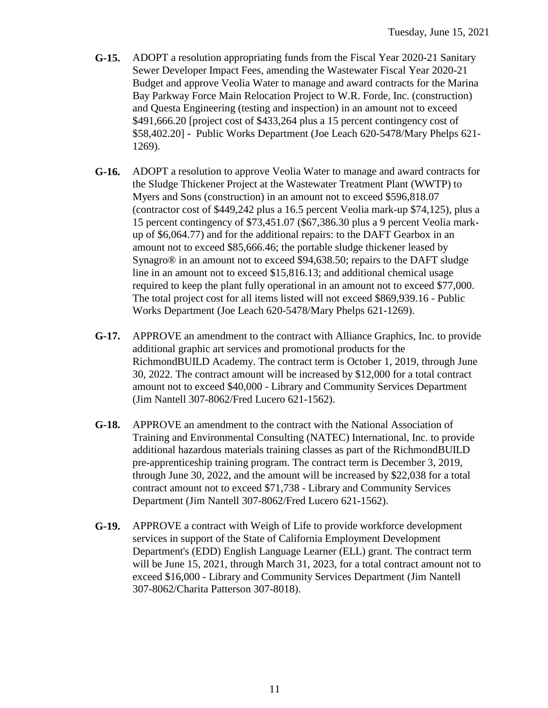- **G-15.** ADOPT a resolution appropriating funds from the Fiscal Year 2020-21 Sanitary Sewer Developer Impact Fees, amending the Wastewater Fiscal Year 2020-21 Budget and approve Veolia Water to manage and award contracts for the Marina Bay Parkway Force Main Relocation Project to W.R. Forde, Inc. (construction) and Questa Engineering (testing and inspection) in an amount not to exceed \$491,666.20 [project cost of \$433,264 plus a 15 percent contingency cost of \$58,402.20] - Public Works Department (Joe Leach 620-5478/Mary Phelps 621- 1269).
- **G-16.** ADOPT a resolution to approve Veolia Water to manage and award contracts for the Sludge Thickener Project at the Wastewater Treatment Plant (WWTP) to Myers and Sons (construction) in an amount not to exceed \$596,818.07 (contractor cost of \$449,242 plus a 16.5 percent Veolia mark-up \$74,125), plus a 15 percent contingency of \$73,451.07 (\$67,386.30 plus a 9 percent Veolia markup of \$6,064.77) and for the additional repairs: to the DAFT Gearbox in an amount not to exceed \$85,666.46; the portable sludge thickener leased by Synagro® in an amount not to exceed \$94,638.50; repairs to the DAFT sludge line in an amount not to exceed \$15,816.13; and additional chemical usage required to keep the plant fully operational in an amount not to exceed \$77,000. The total project cost for all items listed will not exceed \$869,939.16 - Public Works Department (Joe Leach 620-5478/Mary Phelps 621-1269).
- **G-17.** APPROVE an amendment to the contract with Alliance Graphics, Inc. to provide additional graphic art services and promotional products for the RichmondBUILD Academy. The contract term is October 1, 2019, through June 30, 2022. The contract amount will be increased by \$12,000 for a total contract amount not to exceed \$40,000 - Library and Community Services Department (Jim Nantell 307-8062/Fred Lucero 621-1562).
- **G-18.** APPROVE an amendment to the contract with the National Association of Training and Environmental Consulting (NATEC) International, Inc. to provide additional hazardous materials training classes as part of the RichmondBUILD pre-apprenticeship training program. The contract term is December 3, 2019, through June 30, 2022, and the amount will be increased by \$22,038 for a total contract amount not to exceed \$71,738 - Library and Community Services Department (Jim Nantell 307-8062/Fred Lucero 621-1562).
- **G-19.** APPROVE a contract with Weigh of Life to provide workforce development services in support of the State of California Employment Development Department's (EDD) English Language Learner (ELL) grant. The contract term will be June 15, 2021, through March 31, 2023, for a total contract amount not to exceed \$16,000 - Library and Community Services Department (Jim Nantell 307-8062/Charita Patterson 307-8018).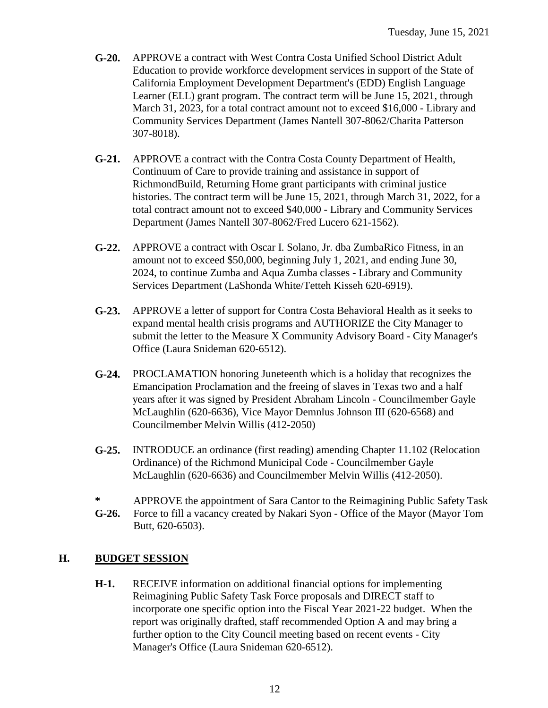- **G-20.** APPROVE a contract with West Contra Costa Unified School District Adult Education to provide workforce development services in support of the State of California Employment Development Department's (EDD) English Language Learner (ELL) grant program. The contract term will be June 15, 2021, through March 31, 2023, for a total contract amount not to exceed \$16,000 - Library and Community Services Department (James Nantell 307-8062/Charita Patterson 307-8018).
- **G-21.** APPROVE a contract with the Contra Costa County Department of Health, Continuum of Care to provide training and assistance in support of RichmondBuild, Returning Home grant participants with criminal justice histories. The contract term will be June 15, 2021, through March 31, 2022, for a total contract amount not to exceed \$40,000 - Library and Community Services Department (James Nantell 307-8062/Fred Lucero 621-1562).
- **G-22.** APPROVE a contract with Oscar I. Solano, Jr. dba ZumbaRico Fitness, in an amount not to exceed \$50,000, beginning July 1, 2021, and ending June 30, 2024, to continue Zumba and Aqua Zumba classes - Library and Community Services Department (LaShonda White/Tetteh Kisseh 620-6919).
- **G-23.** APPROVE a letter of support for Contra Costa Behavioral Health as it seeks to expand mental health crisis programs and AUTHORIZE the City Manager to submit the letter to the Measure X Community Advisory Board - City Manager's Office (Laura Snideman 620-6512).
- **G-24.** PROCLAMATION honoring Juneteenth which is a holiday that recognizes the Emancipation Proclamation and the freeing of slaves in Texas two and a half years after it was signed by President Abraham Lincoln - Councilmember Gayle McLaughlin (620-6636), Vice Mayor Demnlus Johnson III (620-6568) and Councilmember Melvin Willis (412-2050)
- **G-25.** INTRODUCE an ordinance (first reading) amending Chapter 11.102 (Relocation Ordinance) of the Richmond Municipal Code - Councilmember Gayle McLaughlin (620-6636) and Councilmember Melvin Willis (412-2050).
- **\*** APPROVE the appointment of Sara Cantor to the Reimagining Public Safety Task
- **G-26.** Force to fill a vacancy created by Nakari Syon - Office of the Mayor (Mayor Tom Butt, 620-6503).

## **H. BUDGET SESSION**

**H-1.** RECEIVE information on additional financial options for implementing Reimagining Public Safety Task Force proposals and DIRECT staff to incorporate one specific option into the Fiscal Year 2021-22 budget. When the report was originally drafted, staff recommended Option A and may bring a further option to the City Council meeting based on recent events - City Manager's Office (Laura Snideman 620-6512).